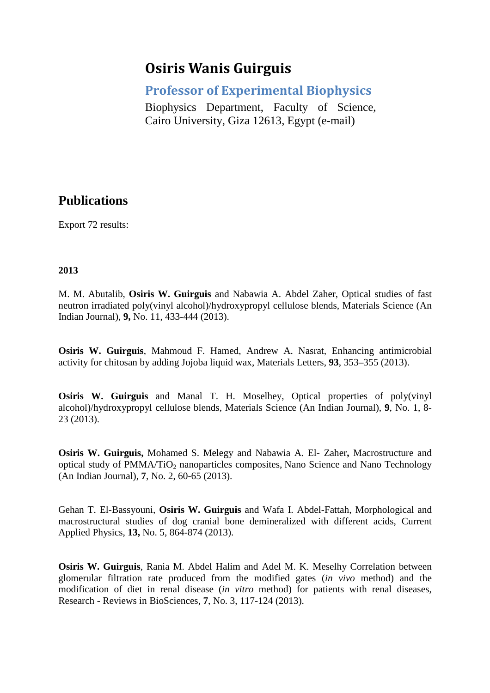# **Osiris Wanis Guirguis**

**Professor of Experimental Biophysics** 

Biophysics Department, Faculty of Science, Cairo University, Giza 12613, Egypt (e-mail)

# **Publications**

Export 72 results:

# **2013**

M. M. Abutalib, **Osiris W. Guirguis** and Nabawia A. Abdel Zaher, Optical studies of fast neutron irradiated poly(vinyl alcohol)/hydroxypropyl cellulose blends, Materials Science (An Indian Journal), **9,** No. 11, 433-444 (2013).

**Osiris W. Guirguis**, Mahmoud F. Hamed, Andrew A. Nasrat, Enhancing antimicrobial activity for chitosan by adding Jojoba liquid wax, Materials Letters, **93**, 353–355 (2013).

**Osiris W. Guirguis** and Manal T. H. Moselhey, Optical properties of poly(vinyl alcohol)/hydroxypropyl cellulose blends, Materials Science (An Indian Journal), **9**, No. 1, 8- 23 (2013).

**Osiris W. Guirguis,** Mohamed S. Melegy and Nabawia A. El- Zaher**,** Macrostructure and optical study of PMMA/TiO<sub>2</sub> nanoparticles composites, Nano Science and Nano Technology (An Indian Journal), **7**, No. 2, 60-65 (2013).

Gehan T. El-Bassyouni, **Osiris W. Guirguis** and Wafa I. Abdel-Fattah, Morphological and macrostructural studies of dog cranial bone demineralized with different acids, Current Applied Physics, **13,** No. 5, 864-874 (2013).

**Osiris W. Guirguis**, Rania M. Abdel Halim and Adel M. K. Meselhy Correlation between glomerular filtration rate produced from the modified gates (*in vivo* method) and the modification of diet in renal disease (*in vitro* method) for patients with renal diseases, Research - Reviews in BioSciences, **7**, No. 3, 117-124 (2013).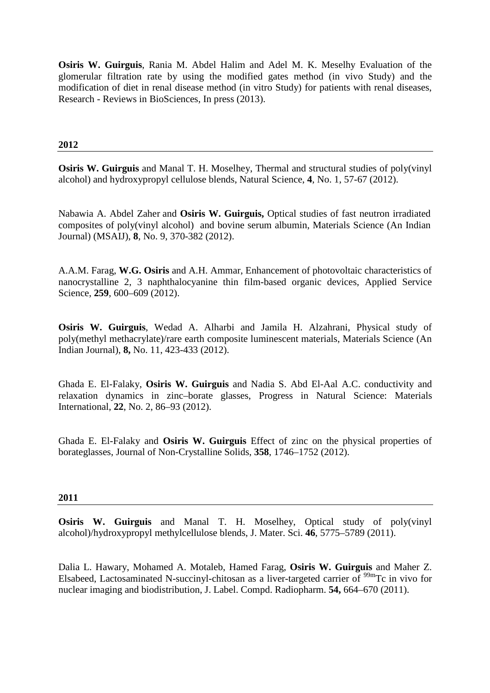**Osiris W. Guirguis**, Rania M. Abdel Halim and Adel M. K. Meselhy Evaluation of the glomerular filtration rate by using the modified gates method (in vivo Study) and the modification of diet in renal disease method (in vitro Study) for patients with renal diseases, Research - Reviews in BioSciences, In press (2013).

# **2012**

**Osiris W. Guirguis** and Manal T. H. Moselhey, Thermal and structural studies of poly(vinyl alcohol) and hydroxypropyl cellulose blends, Natural Science, **4**, No. 1, 57-67 (2012).

Nabawia A. Abdel Zaher and **Osiris W. Guirguis,** Optical studies of fast neutron irradiated composites of poly(vinyl alcohol) and bovine serum albumin, Materials Science (An Indian Journal) (MSAIJ), **8**, No. 9, 370-382 (2012).

A.A.M. Farag, **W.G. Osiris** and A.H. Ammar, Enhancement of photovoltaic characteristics of nanocrystalline 2, 3 naphthalocyanine thin film-based organic devices, Applied Service Science, **259**, 600–609 (2012).

**Osiris W. Guirguis**, Wedad A. Alharbi and Jamila H. Alzahrani, Physical study of poly(methyl methacrylate)/rare earth composite luminescent materials, Materials Science (An Indian Journal), **8,** No. 11, 423-433 (2012).

Ghada E. El-Falaky, **Osiris W. Guirguis** and Nadia S. Abd El-Aal A.C. conductivity and relaxation dynamics in zinc–borate glasses, Progress in Natural Science: Materials International, **22**, No. 2, 86–93 (2012).

Ghada E. El-Falaky and **Osiris W. Guirguis** Effect of zinc on the physical properties of borateglasses, Journal of Non-Crystalline Solids, **358**, 1746–1752 (2012).

#### **2011**

**Osiris W. Guirguis** and Manal T. H. Moselhey, Optical study of poly(vinyl alcohol)/hydroxypropyl methylcellulose blends, J. Mater. Sci. **46**, 5775–5789 (2011).

Dalia L. Hawary, Mohamed A. Motaleb, Hamed Farag, **Osiris W. Guirguis** and Maher Z. Elsabeed, Lactosaminated N-succinyl-chitosan as a liver-targeted carrier of  $\frac{99 \text{m}}{2}$ Tc in vivo for nuclear imaging and biodistribution, J. Label. Compd. Radiopharm. **54,** 664–670 (2011).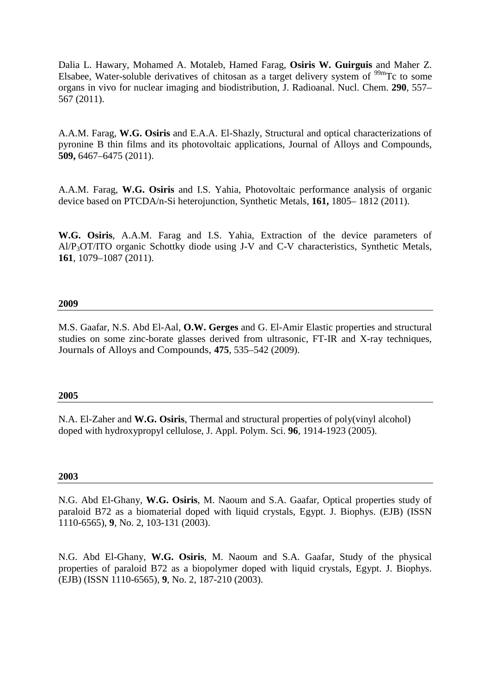Dalia L. Hawary, Mohamed A. Motaleb, Hamed Farag, **Osiris W. Guirguis** and Maher Z. Elsabee, Water-soluble derivatives of chitosan as a target delivery system of  $\frac{99 \text{m}}{2}$  to some organs in vivo for nuclear imaging and biodistribution, J. Radioanal. Nucl. Chem. **290**, 557– 567 (2011).

A.A.M. Farag, **W.G. Osiris** and E.A.A. El-Shazly, Structural and optical characterizations of pyronine B thin films and its photovoltaic applications, Journal of Alloys and Compounds, **509,** 6467–6475 (2011).

A.A.M. Farag, **W.G. Osiris** and I.S. Yahia, Photovoltaic performance analysis of organic device based on PTCDA/n-Si heterojunction, Synthetic Metals, **161,** 1805– 1812 (2011).

**W.G. Osiris**, A.A.M. Farag and I.S. Yahia, Extraction of the device parameters of Al/P3OT/ITO organic Schottky diode using J-V and C-V characteristics, Synthetic Metals, **161**, 1079–1087 (2011).

# **2009**

M.S. Gaafar, N.S. Abd El-Aal, **O.W. Gerges** and G. El-Amir Elastic properties and structural studies on some zinc-borate glasses derived from ultrasonic, FT-IR and X-ray techniques, Journals of Alloys and Compounds, **475**, 535–542 (2009).

#### **2005**

N.A. El-Zaher and **W.G. Osiris**, Thermal and structural properties of poly(vinyl alcohol) doped with hydroxypropyl cellulose, J. Appl. Polym. Sci. **96**, 1914-1923 (2005).

#### **2003**

N.G. Abd El-Ghany, **W.G. Osiris**, M. Naoum and S.A. Gaafar, Optical properties study of paraloid B72 as a biomaterial doped with liquid crystals, Egypt. J. Biophys. (EJB) (ISSN 1110-6565), **9**, No. 2, 103-131 (2003).

N.G. Abd El-Ghany, **W.G. Osiris**, M. Naoum and S.A. Gaafar, Study of the physical properties of paraloid B72 as a biopolymer doped with liquid crystals, Egypt. J. Biophys. (EJB) (ISSN 1110-6565), **9**, No. 2, 187-210 (2003).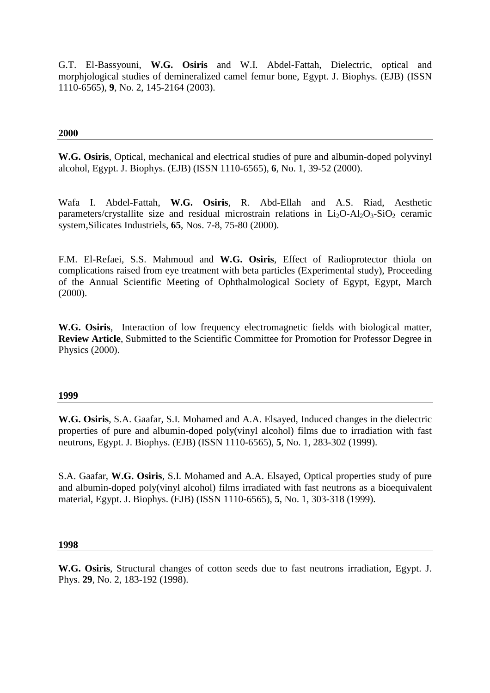G.T. El-Bassyouni, **W.G. Osiris** and W.I. Abdel-Fattah, Dielectric, optical and morphjological studies of demineralized camel femur bone, Egypt. J. Biophys. (EJB) (ISSN 1110-6565), **9**, No. 2, 145-2164 (2003).

# **2000**

**W.G. Osiris**, Optical, mechanical and electrical studies of pure and albumin-doped polyvinyl alcohol, Egypt. J. Biophys. (EJB) (ISSN 1110-6565), **6**, No. 1, 39-52 (2000).

Wafa I. Abdel-Fattah, **W.G. Osiris**, R. Abd-Ellah and A.S. Riad, Aesthetic parameters/crystallite size and residual microstrain relations in  $Li<sub>2</sub>O-Al<sub>2</sub>O<sub>3</sub>-SiO<sub>2</sub>$  ceramic system,Silicates Industriels, **65**, Nos. 7-8, 75-80 (2000).

F.M. El-Refaei, S.S. Mahmoud and **W.G. Osiris**, Effect of Radioprotector thiola on complications raised from eye treatment with beta particles (Experimental study), Proceeding of the Annual Scientific Meeting of Ophthalmological Society of Egypt, Egypt, March (2000).

**W.G. Osiris**, Interaction of low frequency electromagnetic fields with biological matter, **Review Article**, Submitted to the Scientific Committee for Promotion for Professor Degree in Physics (2000).

#### **1999**

**W.G. Osiris**, S.A. Gaafar, S.I. Mohamed and A.A. Elsayed, Induced changes in the dielectric properties of pure and albumin-doped poly(vinyl alcohol) films due to irradiation with fast neutrons, Egypt. J. Biophys. (EJB) (ISSN 1110-6565), **5**, No. 1, 283-302 (1999).

S.A. Gaafar, **W.G. Osiris**, S.I. Mohamed and A.A. Elsayed, Optical properties study of pure and albumin-doped poly(vinyl alcohol) films irradiated with fast neutrons as a bioequivalent material, Egypt. J. Biophys. (EJB) (ISSN 1110-6565), **5**, No. 1, 303-318 (1999).

#### **1998**

**W.G. Osiris**, Structural changes of cotton seeds due to fast neutrons irradiation, Egypt. J. Phys. **29**, No. 2, 183-192 (1998).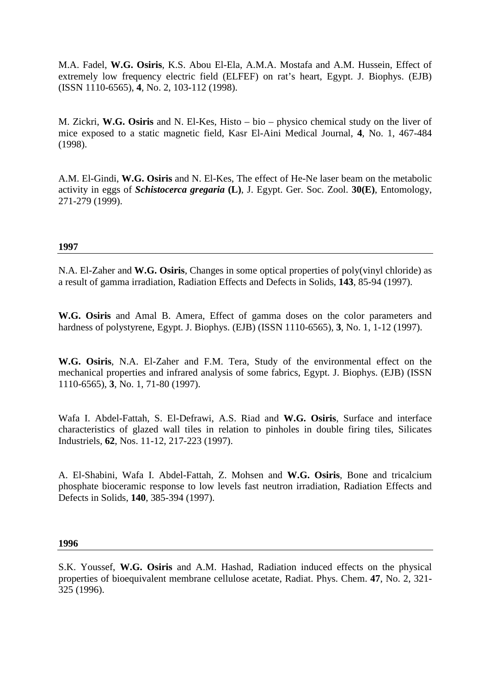M.A. Fadel, **W.G. Osiris**, K.S. Abou El-Ela, A.M.A. Mostafa and A.M. Hussein, Effect of extremely low frequency electric field (ELFEF) on rat's heart, Egypt. J. Biophys. (EJB) (ISSN 1110-6565), **4**, No. 2, 103-112 (1998).

M. Zickri, **W.G. Osiris** and N. El-Kes, Histo – bio – physico chemical study on the liver of mice exposed to a static magnetic field, Kasr El-Aini Medical Journal, **4**, No. 1, 467-484 (1998).

A.M. El-Gindi, **W.G. Osiris** and N. El-Kes, The effect of He-Ne laser beam on the metabolic activity in eggs of *Schistocerca gregaria* **(L)**, J. Egypt. Ger. Soc. Zool. **30(E)**, Entomology, 271-279 (1999).

# **1997**

N.A. El-Zaher and **W.G. Osiris**, Changes in some optical properties of poly(vinyl chloride) as a result of gamma irradiation, Radiation Effects and Defects in Solids, **143**, 85-94 (1997).

**W.G. Osiris** and Amal B. Amera, Effect of gamma doses on the color parameters and hardness of polystyrene, Egypt. J. Biophys. (EJB) (ISSN 1110-6565), **3**, No. 1, 1-12 (1997).

**W.G. Osiris**, N.A. El-Zaher and F.M. Tera, Study of the environmental effect on the mechanical properties and infrared analysis of some fabrics, Egypt. J. Biophys. (EJB) (ISSN 1110-6565), **3**, No. 1, 71-80 (1997).

Wafa I. Abdel-Fattah, S. El-Defrawi, A.S. Riad and **W.G. Osiris**, Surface and interface characteristics of glazed wall tiles in relation to pinholes in double firing tiles, Silicates Industriels, **62**, Nos. 11-12, 217-223 (1997).

A. El-Shabini, Wafa I. Abdel-Fattah, Z. Mohsen and **W.G. Osiris**, Bone and tricalcium phosphate bioceramic response to low levels fast neutron irradiation, Radiation Effects and Defects in Solids, **140**, 385-394 (1997).

**1996** 

S.K. Youssef, **W.G. Osiris** and A.M. Hashad, Radiation induced effects on the physical properties of bioequivalent membrane cellulose acetate, Radiat. Phys. Chem. **47**, No. 2, 321- 325 (1996).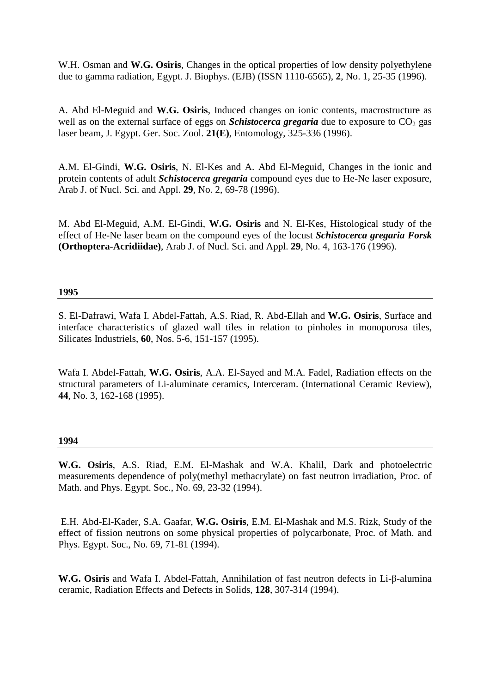W.H. Osman and **W.G. Osiris**, Changes in the optical properties of low density polyethylene due to gamma radiation, Egypt. J. Biophys. (EJB) (ISSN 1110-6565), **2**, No. 1, 25-35 (1996).

A. Abd El-Meguid and **W.G. Osiris**, Induced changes on ionic contents, macrostructure as well as on the external surface of eggs on *Schistocerca gregaria* due to exposure to  $CO<sub>2</sub>$  gas laser beam, J. Egypt. Ger. Soc. Zool. **21(E)**, Entomology, 325-336 (1996).

A.M. El-Gindi, **W.G. Osiris**, N. El-Kes and A. Abd El-Meguid, Changes in the ionic and protein contents of adult *Schistocerca gregaria* compound eyes due to He-Ne laser exposure, Arab J. of Nucl. Sci. and Appl. **29**, No. 2, 69-78 (1996).

M. Abd El-Meguid, A.M. El-Gindi, **W.G. Osiris** and N. El-Kes, Histological study of the effect of He-Ne laser beam on the compound eyes of the locust *Schistocerca gregaria Forsk*  **(Orthoptera-Acridiidae)**, Arab J. of Nucl. Sci. and Appl. **29**, No. 4, 163-176 (1996).

# **1995**

S. El-Dafrawi, Wafa I. Abdel-Fattah, A.S. Riad, R. Abd-Ellah and **W.G. Osiris**, Surface and interface characteristics of glazed wall tiles in relation to pinholes in monoporosa tiles, Silicates Industriels, **60**, Nos. 5-6, 151-157 (1995).

Wafa I. Abdel-Fattah, **W.G. Osiris**, A.A. El-Sayed and M.A. Fadel, Radiation effects on the structural parameters of Li-aluminate ceramics, Interceram. (International Ceramic Review), **44**, No. 3, 162-168 (1995).

#### **1994**

**W.G. Osiris**, A.S. Riad, E.M. El-Mashak and W.A. Khalil, Dark and photoelectric measurements dependence of poly(methyl methacrylate) on fast neutron irradiation, Proc. of Math. and Phys. Egypt. Soc., No. 69, 23-32 (1994).

 E.H. Abd-El-Kader, S.A. Gaafar, **W.G. Osiris**, E.M. El-Mashak and M.S. Rizk, Study of the effect of fission neutrons on some physical properties of polycarbonate, Proc. of Math. and Phys. Egypt. Soc., No. 69, 71-81 (1994).

**W.G. Osiris** and Wafa I. Abdel-Fattah, Annihilation of fast neutron defects in Li-β-alumina ceramic, Radiation Effects and Defects in Solids, **128**, 307-314 (1994).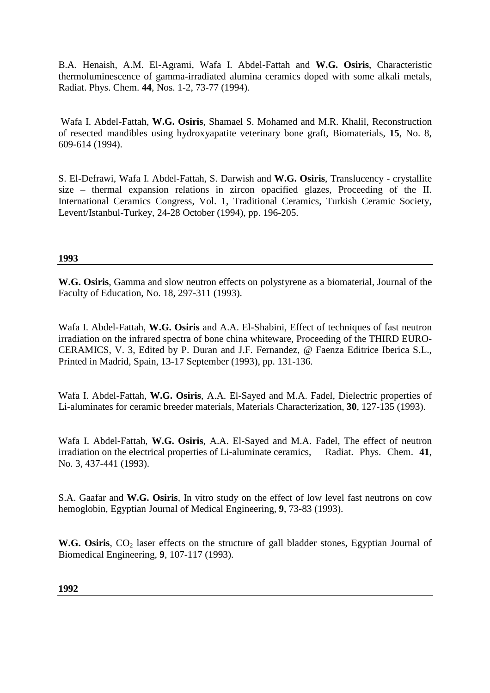B.A. Henaish, A.M. El-Agrami, Wafa I. Abdel-Fattah and **W.G. Osiris**, Characteristic thermoluminescence of gamma-irradiated alumina ceramics doped with some alkali metals, Radiat. Phys. Chem. **44**, Nos. 1-2, 73-77 (1994).

 Wafa I. Abdel-Fattah, **W.G. Osiris**, Shamael S. Mohamed and M.R. Khalil, Reconstruction of resected mandibles using hydroxyapatite veterinary bone graft, Biomaterials, **15**, No. 8, 609-614 (1994).

S. El-Defrawi, Wafa I. Abdel-Fattah, S. Darwish and **W.G. Osiris**, Translucency - crystallite size – thermal expansion relations in zircon opacified glazes, Proceeding of the II. International Ceramics Congress, Vol. 1, Traditional Ceramics, Turkish Ceramic Society, Levent/Istanbul-Turkey, 24-28 October (1994), pp. 196-205.

# **1993**

**W.G. Osiris**, Gamma and slow neutron effects on polystyrene as a biomaterial, Journal of the Faculty of Education, No. 18, 297-311 (1993).

Wafa I. Abdel-Fattah, **W.G. Osiris** and A.A. El-Shabini, Effect of techniques of fast neutron irradiation on the infrared spectra of bone china whiteware, Proceeding of the THIRD EURO-CERAMICS, V. 3, Edited by P. Duran and J.F. Fernandez, @ Faenza Editrice Iberica S.L., Printed in Madrid, Spain, 13-17 September (1993), pp. 131-136.

Wafa I. Abdel-Fattah, **W.G. Osiris**, A.A. El-Sayed and M.A. Fadel, Dielectric properties of Li-aluminates for ceramic breeder materials, Materials Characterization, **30**, 127-135 (1993).

Wafa I. Abdel-Fattah, **W.G. Osiris**, A.A. El-Sayed and M.A. Fadel, The effect of neutron irradiation on the electrical properties of Li-aluminate ceramics, Radiat. Phys. Chem. **41**, No. 3, 437-441 (1993).

S.A. Gaafar and **W.G. Osiris**, In vitro study on the effect of low level fast neutrons on cow hemoglobin, Egyptian Journal of Medical Engineering, **9**, 73-83 (1993).

W.G. Osiris, CO<sub>2</sub> laser effects on the structure of gall bladder stones, Egyptian Journal of Biomedical Engineering, **9**, 107-117 (1993).

**1992**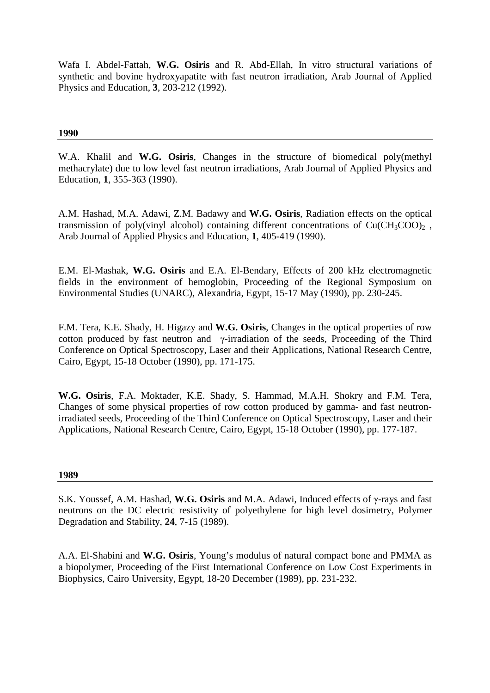Wafa I. Abdel-Fattah, **W.G. Osiris** and R. Abd-Ellah, In vitro structural variations of synthetic and bovine hydroxyapatite with fast neutron irradiation, Arab Journal of Applied Physics and Education, **3**, 203-212 (1992).

# **1990**

W.A. Khalil and **W.G. Osiris**, Changes in the structure of biomedical poly(methyl methacrylate) due to low level fast neutron irradiations, Arab Journal of Applied Physics and Education, **1**, 355-363 (1990).

A.M. Hashad, M.A. Adawi, Z.M. Badawy and **W.G. Osiris**, Radiation effects on the optical transmission of poly(vinyl alcohol) containing different concentrations of  $Cu(CH_3COO)_2$ , Arab Journal of Applied Physics and Education, **1**, 405-419 (1990).

E.M. El-Mashak, **W.G. Osiris** and E.A. El-Bendary, Effects of 200 kHz electromagnetic fields in the environment of hemoglobin, Proceeding of the Regional Symposium on Environmental Studies (UNARC), Alexandria, Egypt, 15-17 May (1990), pp. 230-245.

F.M. Tera, K.E. Shady, H. Higazy and **W.G. Osiris**, Changes in the optical properties of row cotton produced by fast neutron and γ-irradiation of the seeds, Proceeding of the Third Conference on Optical Spectroscopy, Laser and their Applications, National Research Centre, Cairo, Egypt, 15-18 October (1990), pp. 171-175.

**W.G. Osiris**, F.A. Moktader, K.E. Shady, S. Hammad, M.A.H. Shokry and F.M. Tera, Changes of some physical properties of row cotton produced by gamma- and fast neutronirradiated seeds, Proceeding of the Third Conference on Optical Spectroscopy, Laser and their Applications, National Research Centre, Cairo, Egypt, 15-18 October (1990), pp. 177-187.

#### **1989**

S.K. Youssef, A.M. Hashad, **W.G. Osiris** and M.A. Adawi, Induced effects of γ-rays and fast neutrons on the DC electric resistivity of polyethylene for high level dosimetry, Polymer Degradation and Stability, **24**, 7-15 (1989).

A.A. El-Shabini and **W.G. Osiris**, Young's modulus of natural compact bone and PMMA as a biopolymer, Proceeding of the First International Conference on Low Cost Experiments in Biophysics, Cairo University, Egypt, 18-20 December (1989), pp. 231-232.